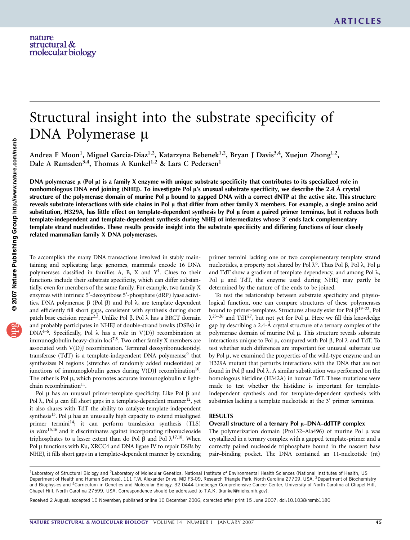# Structural insight into the substrate specificity of DNA Polymerase µ

Andrea F Moon<sup>1</sup>, Miguel Garcia-Diaz<sup>1,2</sup>, Katarzyna Bebenek<sup>1,2</sup>, Bryan J Davis<sup>3,4</sup>, Xuejun Zhong<sup>1,2</sup>, Dale A Ramsden<sup>3,4</sup>, Thomas A Kunkel<sup>1,2</sup> & Lars C Pedersen<sup>1</sup>

DNA polymerase  $\mu$  (Pol  $\mu$ ) is a family X enzyme with unique substrate specificity that contributes to its specialized role in nonhomologous DNA end joining (NHEJ). To investigate Pol µ's unusual substrate specificity, we describe the 2.4 Å crystal structure of the polymerase domain of murine Pol  $\mu$  bound to gapped DNA with a correct dNTP at the active site. This structure reveals substrate interactions with side chains in Pol  $\mu$  that differ from other family X members. For example, a single amino acid substitution, H329A, has little effect on template-dependent synthesis by Pol µ from a paired primer terminus, but it reduces both template-independent and template-dependent synthesis during NHEJ of intermediates whose 3¢ ends lack complementary template strand nucleotides. These results provide insight into the substrate specificity and differing functions of four closely related mammalian family X DNA polymerases.

To accomplish the many DNA transactions involved in stably maintaining and replicating large genomes, mammals encode 16 DNA polymerases classified in families A, B, X and  $Y^1$ . Clues to their functions include their substrate specificity, which can differ substantially, even for members of the same family. For example, two family X enzymes with intrinsic 5'-deoxyribose 5'-phosphate (dRP) lyase activities, DNA polymerase  $\beta$  (Pol  $\beta$ ) and Pol  $\lambda$ , are template dependent and efficiently fill short gaps, consistent with synthesis during short patch base excision repair<sup>2,3</sup>. Unlike Pol  $\beta$ , Pol  $\lambda$  has a BRCT domain and probably participates in NHEJ of double-strand breaks (DSBs) in DNA<sup>4-6</sup>. Specifically, Pol  $\lambda$  has a role in V(D)J recombination at immunoglobulin heavy-chain  $\text{loci}^{7,8}$ . Two other family X members are associated with V(D)J recombination. Terminal deoxyribonucleotidyl transferase (TdT) is a template-independent DNA polymerase<sup>9</sup> that synthesizes N regions (stretches of randomly added nucleotides) at junctions of immunoglobulin genes during  $V(D)J$  recombination<sup>10</sup>. The other is Pol  $\mu$ , which promotes accurate immunoglobulin  $\kappa$  lightchain recombination $11$ .

Pol  $\mu$  has an unusual primer-template specificity. Like Pol  $\beta$  and Pol  $\lambda$ , Pol  $\mu$  can fill short gaps in a template-dependent manner<sup>12</sup>, yet it also shares with TdT the ability to catalyze template-independent synthesis $13$ . Pol  $\mu$  has an unusually high capacity to extend misaligned primer termini<sup>14</sup>; it can perform translesion synthesis (TLS) in vitro $15,16$  and it discriminates against incorporating ribonucleoside triphosphates to a lesser extent than do Pol  $\beta$  and Pol  $\lambda^{17,18}$ . When Pol µ functions with Ku, XRCC4 and DNA ligase IV to repair DSBs by NHEJ, it fills short gaps in a template-dependent manner by extending

primer termini lacking one or two complementary template strand nucleotides, a property not shared by Pol  $\lambda^6$ . Thus Pol  $\beta$ , Pol  $\lambda$ , Pol  $\mu$ and TdT show a gradient of template dependency, and among Pol  $\lambda$ , Pol  $\mu$  and TdT, the enzyme used during NHEJ may partly be determined by the nature of the ends to be joined.

To test the relationship between substrate specificity and physiological function, one can compare structures of these polymerases bound to primer-templates. Structures already exist for Pol  $\beta^{19-22}$ , Pol  $\lambda^{23-26}$  and TdT<sup>27</sup>, but not yet for Pol µ. Here we fill this knowledge gap by describing a 2.4-Å crystal structure of a ternary complex of the polymerase domain of murine Pol µ. This structure reveals substrate interactions unique to Pol  $\mu$ , compared with Pol  $\beta$ , Pol  $\lambda$  and TdT. To test whether such differences are important for unusual substrate use by Pol  $\mu$ , we examined the properties of the wild-type enzyme and an H329A mutant that perturbs interactions with the DNA that are not found in Pol  $\beta$  and Pol  $\lambda$ . A similar substitution was performed on the homologous histidine (H342A) in human TdT. These mutations were made to test whether the histidine is important for templateindependent synthesis and for template-dependent synthesis with substrates lacking a template nucleotide at the 3' primer terminus.

#### RESULTS

#### Overall structure of a ternary Pol  $\mu$ –DNA–ddTTP complex

The polymerization domain (Pro132–Ala496) of murine Pol  $\mu$  was crystallized in a ternary complex with a gapped template-primer and a correctly paired nucleoside triphosphate bound in the nascent base pair–binding pocket. The DNA contained an 11-nucleotide (nt)

<sup>&</sup>lt;sup>1</sup>Laboratory of Structural Biology and <sup>2</sup>Laboratory of Molecular Genetics, National Institute of Environmental Health Sciences (National Institutes of Health, US Department of Health and Human Services), 111 T.W. Alexander Drive, MD F3-09, Research Triangle Park, North Carolina 27709, USA. <sup>3</sup>Department of Biochemistry and Biophysics and <sup>4</sup>Curriculum in Genetics and Molecular Biology, 32-0444 Lineberger Comprehensive Cancer Center, University of North Carolina at Chapel Hill, Chapel Hill, North Carolina 27599, USA. Correspondence should be addressed to T.A.K. (kunkel@niehs.nih.gov).

Received 2 August; accepted 10 November; published online 10 December 2006; corrected after print 15 June 2007; doi:10.1038/nsmb1180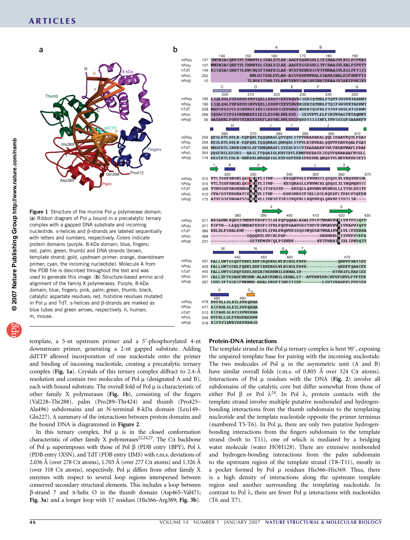

(a) Ribbon diagram of Pol  $\mu$  bound in a precatalytic ternary complex with a gapped DNA substrate and incoming nucleotide.  $\alpha$ -helices and  $\beta$ -strands are labeled sequentially with letters and numbers, respectively. Colors indicate protein domains (purple, 8-kDa domain; blue, fingers; red, palm; green, thumb) and DNA strands (brown, template strand; gold, upstream primer; orange, downstream primer; cyan, the incoming nucleotide). Molecule A from the PDB file is described throughout the text and was used to generate this image. (b) Structure-based amino acid alignment of the family X polymerases. Purple, 8-kDa domain; blue, fingers; pink, palm; green, thumb; black, catalytic aspartate residues; red, histidine residues mutated in Pol  $\mu$  and TdT.  $\alpha$ -helices and  $\beta$ -strands are marked as blue tubes and green arrows, respectively. h, human; m, mouse.



template, a 5-nt upstream primer and a 5'-phosphorylated 4-nt downstream primer, generating a 2-nt gapped substrate. Adding ddTTP allowed incorporation of one nucleotide onto the primer and binding of incoming nucleotide, creating a precatalytic ternary complex (Fig. 1a). Crystals of this ternary complex diffract to  $2.4-\text{\AA}$ resolution and contain two molecules of Pol  $\mu$  (designated A and B), each with bound substrate. The overall fold of Pol  $\mu$  is characteristic of other family X polymerases (Fig. 1b), consisting of the fingers (Val228–Thr288), palm (Pro289–Thr424) and thumb (Pro425– Ala496) subdomains and an N-terminal 8-kDa domain (Leu149– Gln227). A summary of the interactions between protein domains and the bound DNA is diagrammed in Figure 2.

In this ternary complex, Pol  $\mu$  is in the closed conformation characteristic of other family X polymerases<sup>22,24,27</sup>. The C $\alpha$  backbone of Pol  $\mu$  superimposes with those of Pol  $\beta$  (PDB entry 1BPY), Pol  $\lambda$ (PDB entry 1XSN), and TdT (PDB entry 1JMS) with r.m.s. deviations of 2.036 Å (over 278 C $\alpha$  atoms), 1.703 Å (over 277 C $\alpha$  atoms) and 1.326 Å (over 318 C $\alpha$  atoms), respectively. Pol  $\mu$  differs from other family X enzymes with respect to several loop regions interspersed between conserved secondary structural elements. This includes a loop between  $\beta$ -strand 7 and  $\alpha$ -helix O in the thumb domain (Asp465–Val471; Fig. 3a) and a longer loop with 17 residues (His366–Arg389; Fig. 3b).

#### Protein-DNA interactions

The template strand in the Pol  $\mu$  ternary complex is bent 90 $^{\circ}$ , exposing the unpaired template base for pairing with the incoming nucleotide. The two molecules of Pol  $\mu$  in the asymmetric unit (A and B) have similar overall folds (r.m.s. of 0.805  $\AA$  over 324 C $\alpha$  atoms). Interactions of Pol  $\mu$  residues with the DNA (Fig. 2) involve all subdomains of the catalytic core but differ somewhat from those of either Pol  $\beta$  or Pol  $\lambda^{24}$ . In Pol  $\lambda$ , protein contacts with the template strand involve multiple putative nonbonded and hydrogenbonding interactions from the thumb subdomain to the templating nucleotide and the template nucleotide opposite the primer terminus (numbered T5-T6). In Pol  $\mu$ , there are only two putative hydrogenbonding interactions from the fingers subdomain to the template strand (both to T11), one of which is mediated by a bridging water molecule (water HOH128). There are extensive nonbonded and hydrogen-bonding interactions from the palm subdomain to the upstream region of the template strand (T8–T11), mostly in a pocket formed by Pol  $\mu$  residues His366–His369. Thus, there is a high density of interactions along the upstream template region and another surrounding the templating nucleotide. In contrast to Pol  $\lambda$ , there are fewer Pol  $\mu$  interactions with nucleotides (T6 and T7).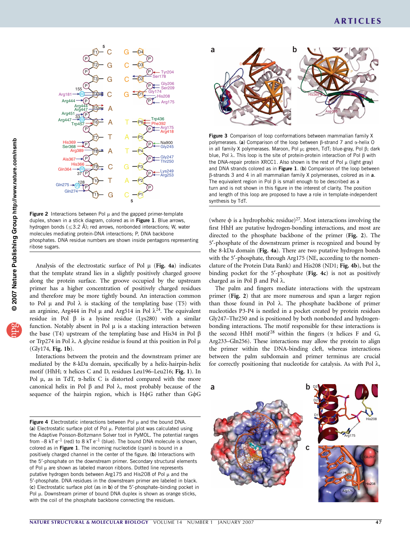

Figure 2 Interactions between Pol  $\mu$  and the gapped primer-template duplex, shown in a stick diagram, colored as in Figure 1. Blue arrows, hydrogen bonds (≤3.2 Å); red arrows, nonbonded interactions; W, water molecules mediating protein-DNA interactions; P, DNA backbone phosphates. DNA residue numbers are shown inside pentagons representing ribose sugars.

Analysis of the electrostatic surface of Pol  $\mu$  (Fig. 4a) indicates that the template strand lies in a slightly positively charged groove along the protein surface. The groove occupied by the upstream primer has a higher concentration of positively charged residues and therefore may be more tightly bound. An interaction common to Pol  $\mu$  and Pol  $\lambda$  is stacking of the templating base (T5) with an arginine, Arg444 in Pol  $\mu$  and Arg514 in Pol  $\lambda^{24}$ . The equivalent residue in Pol  $\beta$  is a lysine residue (Lys280) with a similar function. Notably absent in Pol  $\mu$  is a stacking interaction between the base (T4) upstream of the templating base and His34 in Pol  $\beta$ or Trp274 in Pol  $\lambda$ . A glycine residue is found at this position in Pol  $\mu$ (Gly174, Fig. 1b).

Interactions between the protein and the downstream primer are mediated by the 8-kDa domain, specifically by a helix-hairpin-helix motif (HhH; a helices C and D, residues Leu196–Leu216; Fig. 1). In Pol  $\mu$ , as in TdT,  $\alpha$ -helix C is distorted compared with the more canonical helix in Pol  $\beta$  and Pol  $\lambda$ , most probably because of the sequence of the hairpin region, which is  $H\phi G$  rather than  $G\phi G$ 

Figure 4 Electrostatic interactions between Pol  $\mu$  and the bound DNA. (a) Electrostatic surface plot of Pol  $\mu$ . Potential plot was calculated using the Adaptive Poisson-Boltzmann Solver tool in PyMOL. The potential ranges from  $-8$  kT e<sup>-1</sup> (red) to 8 kT e<sup>-1</sup> (blue). The bound DNA molecule is shown, colored as in Figure 1. The incoming nucleotide (cyan) is bound in a positively charged channel in the center of the figure. (b) Interactions with the 5¢-phosphate on the downstream primer. Secondary structural elements of Pol  $\mu$  are shown as labeled maroon ribbons. Dotted line represents putative hydrogen bonds between Arg175 and His208 of Pol  $\mu$  and the 5'-phosphate. DNA residues in the downstream primer are labeled in black. (c) Electrostatic surface plot (as in b) of the 5'-phosphate-binding pocket in Pol  $\mu$ . Downstream primer of bound DNA duplex is shown as orange sticks, with the coil of the phosphate backbone connecting the residues.



Figure 3 Comparison of loop conformations between mammalian family X polymerases. (a) Comparison of the loop between  $\beta$ -strand 7 and  $\alpha$ -helix O in all family X polymerases. Maroon, Pol  $\mu$ ; green, TdT; blue-gray, Pol  $\beta$ ; dark blue, Pol  $\lambda$ . This loop is the site of protein-protein interaction of Pol  $\beta$  with the DNA-repair protein XRCC1. Also shown is the rest of Pol  $\mu$  (light gray) and DNA strands colored as in Figure 1. (b) Comparison of the loop between  $\beta$ -strands 3 and 4 in all mammalian family X polymerases, colored as in a. The equivalent region in Pol  $\beta$  is small enough to be described as a turn and is not shown in this figure in the interest of clarity. The position and length of this loop are proposed to have a role in template-independent synthesis by TdT.

(where  $\phi$  is a hydrophobic residue)<sup>27</sup>. Most interactions involving the first HhH are putative hydrogen-bonding interactions, and most are directed to the phosphate backbone of the primer (Fig. 2). The 5¢-phosphate of the downstream primer is recognized and bound by the 8-kDa domain (Fig. 4a). There are two putative hydrogen bonds with the 5'-phosphate, through Arg175 (NE, according to the nomenclature of the Protein Data Bank) and His208 (ND1; Fig. 4b), but the binding pocket for the 5'-phosphate (Fig. 4c) is not as positively charged as in Pol  $\beta$  and Pol  $\lambda$ .

The palm and fingers mediate interactions with the upstream primer (Fig. 2) that are more numerous and span a larger region than those found in Pol  $\lambda$ . The phosphate backbone of primer nucleotides P3-P4 is nestled in a pocket created by protein residues Gly247–Thr250 and is positioned by both nonbonded and hydrogenbonding interactions. The motif responsible for these interactions is the second HhH motif<sup>28</sup> within the fingers ( $\alpha$  helices F and G, Arg233–Gln256). These interactions may allow the protein to align the primer within the DNA-binding cleft, whereas interactions between the palm subdomain and primer terminus are crucial for correctly positioning that nucleotide for catalysis. As with Pol  $\lambda$ ,

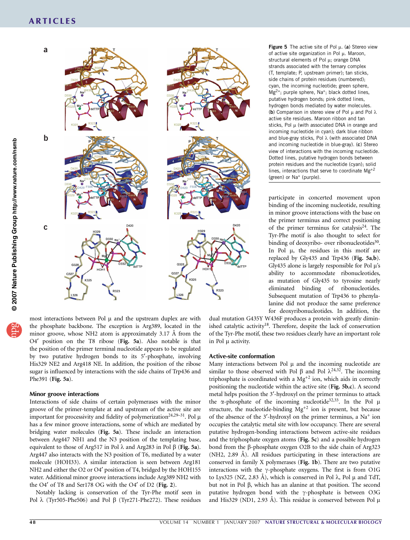#### ARTICLES



most interactions between Pol  $\mu$  and the upstream duplex are with the phosphate backbone. The exception is Arg389, located in the minor groove, whose NH2 atom is approximately  $3.17 \text{ Å}$  from the O4' position on the T8 ribose (Fig. 5a). Also notable is that the position of the primer terminal nucleotide appears to be regulated by two putative hydrogen bonds to its 5¢-phosphate, involving His329 NE2 and Arg418 NE. In addition, the position of the ribose sugar is influenced by interactions with the side chains of Trp436 and Phe391 (Fig. 5a).

#### Minor groove interactions

Interactions of side chains of certain polymerases with the minor groove of the primer-template at and upstream of the active site are important for processivity and fidelity of polymerization<sup>24,29–31</sup>. Pol  $\mu$ has a few minor groove interactions, some of which are mediated by bridging water molecules (Fig. 5a). These include an interaction between Arg447 NH1 and the N3 position of the templating base, equivalent to those of Arg517 in Pol  $\lambda$  and Arg283 in Pol  $\beta$  (Fig. 5a). Arg447 also interacts with the N3 position of T6, mediated by a water molecule (HOH33). A similar interaction is seen between Arg181 NH2 and either the O2 or O4' position of T4, bridged by the HOH155 water. Additional minor groove interactions include Arg389 NH2 with the O4 $'$  of T8 and Ser178 OG with the O4 $'$  of D2 (Fig. 2).

Notably lacking is conservation of the Tyr-Phe motif seen in Pol  $\lambda$  (Tyr505-Phe506) and Pol  $\beta$  (Tyr271-Phe272). These residues Figure 5 The active site of Pol  $\mu$ . (a) Stereo view of active site organization in Pol  $\mu$ . Maroon, structural elements of Pol  $\mu$ ; orange DNA strands associated with the ternary complex (T, template; P, upstream primer); tan sticks, side chains of protein residues (numbered); cyan, the incoming nucleotide; green sphere,  $Mg^{2+}$ ; purple sphere, Na<sup>+</sup>; black dotted lines, putative hydrogen bonds; pink dotted lines, hydrogen bonds mediated by water molecules. (b) Comparison in stereo view of Pol  $\mu$  and Pol  $\lambda$ active site residues. Maroon ribbon and tan sticks, Pol  $\mu$  (with associated DNA in orange and incoming nucleotide in cyan); dark blue ribbon and blue-gray sticks, Pol  $\lambda$  (with associated DNA and incoming nucleotide in blue-gray). (c) Stereo view of interactions with the incoming nucleotide. Dotted lines, putative hydrogen bonds between protein residues and the nucleotide (cyan); solid lines, interactions that serve to coordinate  $Mg^{+2}$ (green) or Na<sup>+</sup> (purple).

participate in concerted movement upon binding of the incoming nucleotide, resulting in minor groove interactions with the base on the primer terminus and correct positioning of the primer terminus for catalysis<sup>24</sup>. The Tyr-Phe motif is also thought to select for binding of deoxyribo- over ribonucleotides<sup>30</sup>. In Pol  $\mu$ , the residues in this motif are replaced by Gly435 and Trp436 (Fig. 5a,b). Gly435 alone is largely responsible for Pol  $\mu$ 's ability to accommodate ribonucleotides, as mutation of Gly435 to tyrosine nearly eliminated binding of ribonucleotides. Subsequent mutation of Trp436 to phenylalanine did not produce the same preference for deoxyribonucleotides. In addition, the

dual mutation G435Y W436F produces a protein with greatly diminished catalytic activity<sup>18</sup>. Therefore, despite the lack of conservation of the Tyr-Phe motif, these two residues clearly have an important role in Pol  $\mu$  activity.

#### Active-site conformation

Many interactions between Pol  $\mu$  and the incoming nucleotide are similar to those observed with Pol  $\beta$  and Pol  $\lambda^{24,32}$ . The incoming triphosphate is coordinated with a  $Mg^{+2}$  ion, which aids in correctly positioning the nucleotide within the active site (Fig. 5b,c). A second metal helps position the 3'-hydroxyl on the primer terminus to attack the  $\alpha$ -phosphate of the incoming nucleotide<sup>32,33</sup>. In the Pol  $\mu$ structure, the nucleotide-binding  $Mg^{+2}$  ion is present, but because of the absence of the  $3'$ -hydroxyl on the primer terminus, a Na<sup>+</sup> ion occupies the catalytic metal site with low occupancy. There are several putative hydrogen-bonding interactions between active-site residues and the triphosphate oxygen atoms (Fig. 5c) and a possible hydrogen bond from the β-phosphate oxygen O2B to the side chain of Arg323  $(NH2, 2.89)$  A $)$ . All residues participating in these interactions are conserved in family X polymerases (Fig. 1b). There are two putative interactions with the  $\gamma$ -phosphate oxygens. The first is from O1G to Lys325 (NZ, 2.83 Å), which is conserved in Pol  $\lambda$ , Pol  $\mu$  and TdT, but not in Pol  $\beta$ , which has an alanine at that position. The second putative hydrogen bond with the  $\gamma$ -phosphate is between O3G and His329 (ND1, 2.93 Å). This residue is conserved between Pol  $\mu$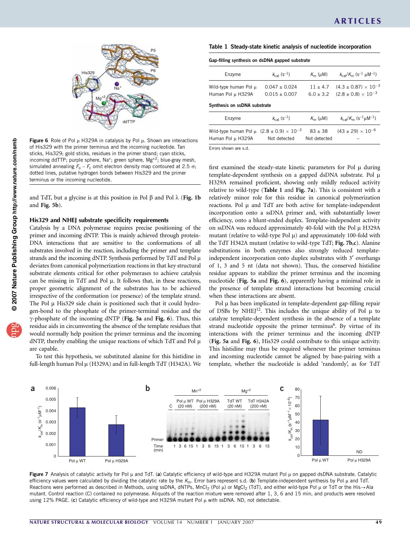

Figure 6 Role of Pol  $\mu$  H329A in catalysis by Pol  $\mu$ . Shown are interactions of His329 with the primer terminus and the incoming nucleotide. Tan sticks, His329; gold sticks, residues in the primer strand; cyan sticks, incoming ddTTP; purple sphere, Na<sup>+</sup>; green sphere, Mg<sup>+2</sup>; blue-gray mesh, simulated annealing  $F_0 - F_c$  omit electron density map contoured at 2.5  $\sigma$ ; dotted lines, putative hydrogen bonds between His329 and the primer terminus or the incoming nucleotide.

and TdT, but a glycine is at this position in Pol  $\beta$  and Pol  $\lambda$  (Fig. 1b and Fig. 5b).

#### His329 and NHEJ substrate specificity requirements

Catalysis by a DNA polymerase requires precise positioning of the primer and incoming dNTP. This is mainly achieved through protein-DNA interactions that are sensitive to the conformations of all substrates involved in the reaction, including the primer and template strands and the incoming dNTP. Synthesis performed by  $TdT$  and Pol  $\mu$ deviates from canonical polymerization reactions in that key structural substrate elements critical for other polymerases to achieve catalysis can be missing in TdT and Pol  $\mu$ . It follows that, in these reactions, proper geometric alignment of the substrates has to be achieved irrespective of the conformation (or presence) of the template strand. The Pol  $\mu$  His329 side chain is positioned such that it could hydrogen-bond to the phosphate of the primer-terminal residue and the  $\gamma$ -phosphate of the incoming dNTP (Fig. 5a and Fig. 6). Thus, this residue aids in circumventing the absence of the template residues that would normally help position the primer terminus and the incoming dNTP, thereby enabling the unique reactions of which  $TdT$  and Pol  $\mu$ are capable.

To test this hypothesis, we substituted alanine for this histidine in full-length human Pol µ (H329A) and in full-length TdT (H342A). We

| Table 1 Steady-state kinetic analysis of nucleotide incorporation |  |  |  |
|-------------------------------------------------------------------|--|--|--|
|                                                                   |  |  |  |

| Gap-filling synthesis on dsDNA gapped substrate                     |                                     |                        |                                                                        |  |  |  |  |
|---------------------------------------------------------------------|-------------------------------------|------------------------|------------------------------------------------------------------------|--|--|--|--|
| Enzyme                                                              | $k_{\text{cat}}$ (s <sup>-1</sup> ) | $K_{\rm m}$ ( $\mu$ M) | $k_{\text{cat}}/K_{\text{m}}$ (s <sup>-1</sup> $\mu$ M <sup>-1</sup> ) |  |  |  |  |
| Wild-type human Pol µ                                               | $0.047 + 0.024$                     | $11 + 4.7$             | $(4.3 \pm 0.87) \times 10^{-3}$                                        |  |  |  |  |
| Human Pol µ H329A                                                   | $0.015 + 0.007$                     | $6.0 + 3.2$            | $(2.8 \pm 0.8) \times 10^{-3}$                                         |  |  |  |  |
| Synthesis on ssDNA substrate                                        |                                     |                        |                                                                        |  |  |  |  |
| Enzyme                                                              | $k_{\text{cat}}$ (s <sup>-1</sup> ) | $K_{\rm m}$ ( $\mu$ M) | $k_{\text{cat}}/K_{\text{m}}$ (s <sup>-1</sup> µM <sup>-1</sup> )      |  |  |  |  |
| Wild-type human Pol $\mu$ (2.8 $\pm$ 0.9) $\times$ 10 <sup>-3</sup> |                                     | $83 + 38$              | $(43 \pm 29) \times 10^{-6}$                                           |  |  |  |  |
| Human Pol µ H329A                                                   | Not detected                        | Not detected           |                                                                        |  |  |  |  |

Errors shown are s.d.

first examined the steady-state kinetic parameters for Pol  $\mu$  during template-dependent synthesis on a gapped dsDNA substrate. Pol  $\mu$ H329A remained proficient, showing only mildly reduced activity relative to wild-type (Table 1 and Fig. 7a). This is consistent with a relatively minor role for this residue in canonical polymerization reactions. Pol  $\mu$  and TdT are both active for template-independent incorporation onto a ssDNA primer and, with substantially lower efficiency, onto a blunt-ended duplex. Template-independent activity on ssDNA was reduced approximately 40-fold with the Pol  $\mu$  H329A mutant (relative to wild-type Pol  $\mu$ ) and approximately 100-fold with the TdT H342A mutant (relative to wild-type TdT; Fig. 7b,c). Alanine substitutions in both enzymes also strongly reduced templateindependent incorporation onto duplex substrates with 3' overhangs of 1, 3 and 5 nt (data not shown). Thus, the conserved histidine residue appears to stabilize the primer terminus and the incoming nucleotide (Fig. 5a and Fig. 6), apparently having a minimal role in the presence of template strand interactions but becoming crucial when these interactions are absent.

Pol  $\mu$  has been implicated in template-dependent gap-filling repair of DSBs by NHEJ $12$ . This includes the unique ability of Pol  $\mu$  to catalyze template-dependent synthesis in the absence of a template strand nucleotide opposite the primer terminus<sup>6</sup>. By virtue of its interactions with the primer terminus and the incoming dNTP (Fig. 5a and Fig. 6), His329 could contribute to this unique activity. This histidine may thus be required whenever the primer terminus and incoming nucleotide cannot be aligned by base-pairing with a template, whether the nucleotide is added 'randomly', as for TdT



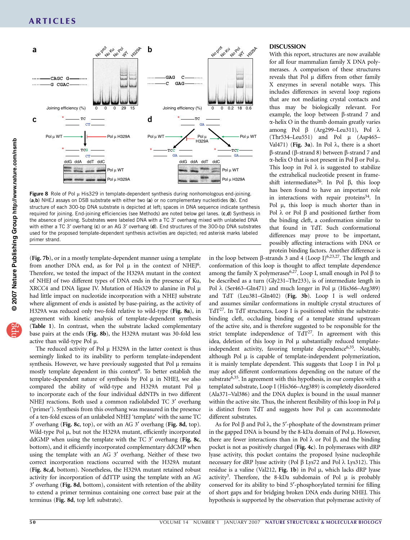

Figure 8 Role of Pol  $\mu$  His329 in template-dependent synthesis during nonhomologous end-joining. (a,b) NHEJ assays on DSB substrate with either two (a) or no complementary nucleotides (b). End structure of each 300-bp DNA substrate is depicted at left; spaces in DNA sequence indicate synthesis required for joining. End-joining efficiencies (see Methods) are noted below gel lanes. (c,d) Synthesis in the absence of joining. Substrates were labeled DNA with a TC 3' overhang mixed with unlabeled DNA with either a TC 3' overhang  $(c)$  or an AG 3' overhang  $(d)$ . End structures of the 300-bp DNA substrates used for the proposed template-dependent synthesis activities are depicted; red asterisk marks labeled primer strand.

(Fig. 7b), or in a mostly template-dependent manner using a template from another DNA end, as for Pol  $\mu$  in the context of NHEJ<sup>6</sup>. Therefore, we tested the impact of the H329A mutant in the context of NHEJ of two different types of DNA ends in the presence of Ku, XRCC4 and DNA ligase IV. Mutation of His329 to alanine in Pol $\mu$ had little impact on nucleotide incorporation with a NHEJ substrate where alignment of ends is assisted by base-pairing, as the activity of H329A was reduced only two-fold relative to wild-type (Fig. 8a), in agreement with kinetic analysis of template-dependent synthesis (Table 1). In contrast, when the substrate lacked complementary base pairs at the ends (Fig. 8b), the H329A mutant was 30-fold less active than wild-type Pol  $\mu$ .

The reduced activity of Pol  $\mu$  H329A in the latter context is thus seemingly linked to its inability to perform template-independent synthesis. However, we have previously suggested that Pol  $\mu$  remains mostly template dependent in this context<sup>6</sup>. To better establish the template-dependent nature of synthesis by Pol  $\mu$  in NHEJ, we also compared the ability of wild-type and H329A mutant Pol  $\mu$ to incorporate each of the four individual ddNTPs in two different NHEJ reactions. Both used a common radiolabeled TC 3' overhang ('primer'). Synthesis from this overhang was measured in the presence of a ten-fold excess of an unlabeled NHEJ 'template' with the same TC  $3'$  overhang (Fig. 8c, top), or with an AG  $3'$  overhang (Fig. 8d, top). Wild-type Pol  $\mu$ , but not the H329A mutant, efficiently incorporated ddGMP when using the template with the TC  $3'$  overhang (Fig. 8c, bottom), and it efficiently incorporated complementary ddCMP when using the template with an AG 3' overhang. Neither of these two correct incorporation reactions occurred with the H329A mutant (Fig. 8c,d, bottom). Nonetheless, the H329A mutant retained robust activity for incorporation of ddTTP using the template with an AG 3¢ overhang (Fig. 8d, bottom), consistent with retention of the ability to extend a primer terminus containing one correct base pair at the terminus (Fig. 8d, top left substrate).

#### DISCUSSION

With this report, structures are now available for all four mammalian family X DNA polymerases. A comparison of these structures reveals that Pol  $\mu$  differs from other family X enzymes in several notable ways. This includes differences in several loop regions that are not mediating crystal contacts and thus may be biologically relevant. For example, the loop between  $\beta$ -strand 7 and  $\alpha$ -helix O in the thumb domain greatly varies among Pol  $\beta$  (Arg299–Leu311), Pol  $\lambda$  $(Thr534–Leu551)$  and Pol  $\mu$  (Asp465– Val471) (Fig. 3a). In Pol  $\lambda$ , there is a short  $\beta$ -strand ( $\beta$ -strand 8) between  $\beta$ -strand 7 and  $\alpha$ -helix O that is not present in Pol  $\beta$  or Pol  $\mu$ . This loop in Pol  $\lambda$  is suggested to stabilize the extrahelical nucleotide present in frameshift intermediates<sup>26</sup>. In Pol  $\beta$ , this loop has been found to have an important role in interactions with repair proteins<sup>34</sup>. In Pol  $\mu$ , this loop is much shorter than in Pol  $\lambda$  or Pol  $\beta$  and positioned farther from the binding cleft, a conformation similar to that found in TdT. Such conformational differences may prove to be important, possibly affecting interactions with DNA or protein binding factors. Another difference is

in the loop between  $\beta$ -strands 3 and 4 (Loop I)<sup>6,23,27</sup>. The length and conformation of this loop is thought to affect template dependence among the family X polymerases<sup>6,27</sup>. Loop I, small enough in Pol  $\beta$  to be described as a turn (Gly231–Thr233), is of intermediate length in Pol  $\lambda$  (Ser463–Gln471) and much longer in Pol  $\mu$  (His366–Arg389) and TdT (Leu381–Gln402) (Fig. 3b). Loop I is well ordered and assumes similar conformations in multiple crystal structures of TdT $27$ . In TdT structures, Loop I is positioned within the substratebinding cleft, occluding binding of a template strand upstream of the active site, and is therefore suggested to be responsible for the strict template independence of  $TdT^{27}$ . In agreement with this idea, deletion of this loop in Pol  $\mu$  substantially reduced templateindependent activity, favoring template dependence<sup>6,35</sup>. Notably, although Pol  $\mu$  is capable of template-independent polymerization, it is mainly template dependent. This suggests that Loop I in Pol $\mu$ may adopt different conformations depending on the nature of the substrate $\frac{6,35}{5}$ . In agreement with this hypothesis, in our complex with a templated substrate, Loop I (His366–Arg389) is completely disordered (Ala371–Val386) and the DNA duplex is bound in the usual manner within the active site. Thus, the inherent flexibility of this loop in Pol $\mu$ is distinct from TdT and suggests how Pol  $\mu$  can accommodate different substrates.

As for Pol  $\beta$  and Pol  $\lambda$ , the 5'-phosphate of the downstream primer in the gapped DNA is bound by the 8-kDa domain of Pol  $\mu$ . However, there are fewer interactions than in Pol  $\lambda$  or Pol  $\beta$ , and the binding pocket is not as positively charged (Fig. 4c). In polymerases with dRP lyase activity, this pocket contains the proposed lysine nucleophile necessary for dRP lyase activity (Pol  $\beta$  Lys72 and Pol  $\lambda$  Lys312). This residue is a valine (Val212, Fig. 1b) in Pol  $\mu$ , which lacks dRP lyase activity<sup>3</sup>. Therefore, the 8-kDa subdomain of Pol  $\mu$  is probably conserved for its ability to bind 5'-phosphorylated termini for filling of short gaps and for bridging broken DNA ends during NHEJ. This hypothesis is supported by the observation that polymerase activity of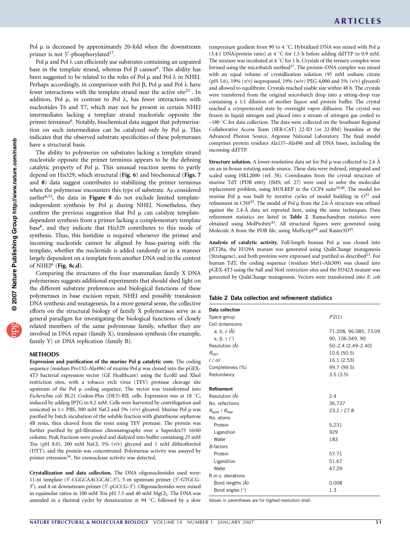Pol  $\mu$  is decreased by approximately 20-fold when the downstream primer is not 5'-phosphorylated<sup>17</sup>.

Pol  $\mu$  and Pol  $\lambda$  can efficiently use substrates containing an unpaired base in the template strand, whereas Pol  $\beta$  cannot<sup>6</sup>. This ability has been suggested to be related to the roles of Pol  $\mu$  and Pol  $\lambda$  in NHEJ. Perhaps accordingly, in comparison with Pol  $\beta$ , Pol  $\mu$  and Pol  $\lambda$  have fewer interactions with the template strand near the active site<sup>23</sup>. In addition, Pol  $\mu$ , in contrast to Pol  $\lambda$ , has fewer interactions with nucleotides T6 and T7, which may not be present in certain NHEJ intermediates lacking a template strand nucleotide opposite the primer terminus<sup>6</sup>. Notably, biochemical data suggest that polymerization on such intermediates can be catalyzed only by Pol  $\mu$ . This indicates that the observed substrate specificities of these polymerases have a structural basis.

The ability to polymerize on substrates lacking a template strand nucleotide opposite the primer terminus appears to be the defining catalytic property of Pol  $\mu$ . This unusual reaction seems to partly depend on His329, which structural (Fig. 6) and biochemical (Figs. 7 and 8) data suggest contributes to stabilizing the primer terminus when the polymerase encounters this type of substrate. As considered earlier $6,35$ , the data in Figure 8 do not exclude limited templateindependent synthesis by Pol  $\mu$  during NHEJ. Nonetheless, they confirm the previous suggestion that Pol  $\mu$  can catalyze templatedependent synthesis from a primer lacking a complementary template base6, and they indicate that His329 contributes to this mode of synthesis. Thus, this histidine is required whenever the primer and incoming nucleotide cannot be aligned by base-pairing with the template, whether the nucleotide is added randomly or in a manner largely dependent on a template from another DNA end in the context of NHEJ $^6$  (Fig. 8c,d).

Comparing the structures of the four mammalian family X DNA polymerases suggests additional experiments that should shed light on the different substrate preferences and biological functions of these polymerases in base excision repair, NHEJ and possibly translesion DNA synthesis and mutagenesis. In a more general sense, the collective efforts on the structural biology of family X polymerases serve as a general paradigm for investigating the biological functions of closely related members of the same polymerase family, whether they are involved in DNA repair (family X), translesion synthesis (for example, family Y) or DNA replication (family B).

#### METHODS

Expression and purification of the murine Pol  $\mu$  catalytic core. The coding sequence (residues Pro132–Ala496) of murine Pol  $\mu$  was cloned into the pGEX-4T3 bacterial expression vector (GE Healthcare) using the EcoRI and XhoI restriction sites, with a tobacco etch virus (TEV) protease cleavage site upstream of the Pol  $\mu$  coding sequence. The vector was transformed into Escherichia coli BL21 Codon-Plus (DE3)-RIL cells. Expression was at 18 °C, induced by adding IPTG to 0.2 mM. Cells were harvested by centrifugation and sonicated in  $1 \times$  PBS, 500 mM NaCl and 5% (v/v) glycerol. Murine Pol  $\mu$  was purified by batch incubation of the soluble fraction with glutathione sepharose 4B resin, then cleaved from the resin using TEV protease. The protein was further purified by gel-filtration chromatography over a Superdex75 16/60 column. Peak fractions were pooled and dialyzed into buffer containing 25 mM Tris (pH 8.0), 200 mM NaCl, 5% (v/v) glycerol and 1 mM dithiothreitol (DTT), and the protein was concentrated. Polymerase activity was assayed by primer extension<sup>36</sup>. No exonuclease activity was detected.

Crystallization and data collection. The DNA oligonucleotides used were: 11-nt template (5'-CGGCAACGCAC-3'), 5-nt upstream primer (5'-GTGCG-3'), and 4-nt downstream primer (5'-pGCCG-3'). Oligonucleotides were mixed in equimolar ratios in 100 mM Tris pH 7.5 and 40 mM MgCl<sub>2</sub>. The DNA was annealed in a thermal cycler by denaturation at 94  $\degree$ C, followed by a slow temperature gradient from 90 to 4 °C. Hybridized DNA was mixed with Pol  $\mu$ (3.4:1 DNA/protein ratio) at 4  $^{\circ}$ C for 1.5 h before adding ddTTP to 0.9 mM. The mixture was incubated at 4  $\mathrm{^{\circ}C}$  for 1 h. Crystals of the ternary complex were formed using the microbatch method<sup>37</sup>. The protein–DNA complex was mixed with an equal volume of crystallization solution (95 mM sodium citrate (pH 5.6), 19% (v/v) isopropanol, 19% (w/v) PEG 4,000 and 5% (v/v) glycerol) and allowed to equilibrate. Crystals reached usable size within 48 h. The crystals were transferred from the original microbatch drop into a sitting-drop tray containing a 1:1 dilution of mother liquor and protein buffer. The crystal reached a cryoprotected state by overnight vapor diffusion. The crystal was frozen in liquid nitrogen and placed into a stream of nitrogen gas cooled to  $-180$  °C for data collection. The data were collected on the Southeast Regional Collaborative Access Team (SER-CAT) 22-ID (or 22-BM) beamline at the Advanced Photon Source, Argonne National Laboratory. The final model comprises protein residues Ala137–Ala496 and all DNA bases, including the incoming ddTTP.

**Structure solution.** A lower-resolution data set for Pol  $\mu$  was collected to 2.6  $\AA$ on an in-house rotating anode source. These data were indexed, integrated and scaled using HKL2000 (ref. 38). Coordinates from the crystal structure of murine TdT (PDB entry 1JMS; ref. 27) were used to solve the molecular replacement problem, using MOLREP in the CCP4 suite<sup>39,40</sup>. The model for murine Pol  $\mu$  was built by iterative cycles of model building in  $O<sup>41</sup>$  and refinement in CNS<sup>42</sup>. The model of Pol  $\mu$  from the 2.6- $\AA$  structure was refined against the 2.4-A<sup> $A$ </sup> data set reported here, using the same techniques. Data refinement statistics are listed in Table 2. Ramachandran statistics were obtained using MolProbity<sup>43</sup>. All structural figures were generated using Molecule A from the PDB file, using MolScript<sup>44</sup> and Raster3D<sup>45</sup>.

Analysis of catalytic activity. Full-length human Pol µ was cloned into pET28a, the H329A mutant was generated using QuikChange mutagenesis (Stratagene), and both proteins were expressed and purified as described<sup>23</sup>. For human TdT, the coding sequence (residues Met1–Ala509) was cloned into pGEX-4T3 using the SalI and NotI restriction sites and the H342A mutant was generated by QuikChange mutagenesis. Vectors were transformed into E. coli

#### Table 2 Data collection and refinement statistics

| Data collection                             |                       |  |  |
|---------------------------------------------|-----------------------|--|--|
| Space group                                 | P2(1)                 |  |  |
| Cell dimensions                             |                       |  |  |
| $a, b, c (\AA)$                             | 71.208, 96.085, 73.09 |  |  |
| $\alpha$ , $\beta$ , $\gamma$ ( $\degree$ ) | 90, 106.549, 90       |  |  |
| Resolution (Å)                              | 50-2.4 (2.49-2.40)    |  |  |
| $R_{\text{sym}}$                            | 10.6 (50.5)           |  |  |
| $I / \sigma I$                              | 16.1 (2.53)           |  |  |
| Completeness (%)                            | 99.7 (99.5)           |  |  |
| Redundancy                                  | 3.5(3.5)              |  |  |
| <b>Refinement</b>                           |                       |  |  |
| Resolution (Å)                              | 2.4                   |  |  |
| No. reflections                             | 36,737                |  |  |
| $R_{work}$ / $R_{free}$                     | 23.2/27.8             |  |  |
| No. atoms                                   |                       |  |  |
| Protein                                     | 5,231                 |  |  |
| Ligand/ion                                  | 929                   |  |  |
| Water                                       | 183                   |  |  |
| <b>B-factors</b>                            |                       |  |  |
| Protein                                     | 57.71                 |  |  |
| Ligand/ion                                  | 51.67                 |  |  |
| Water                                       | 47.29                 |  |  |
| R.m.s. deviations                           |                       |  |  |
| Bond lengths (Å)                            | 0.008                 |  |  |
| Bond angles (°)                             | 1.3                   |  |  |

Values in parentheses are for highest-resolution shell.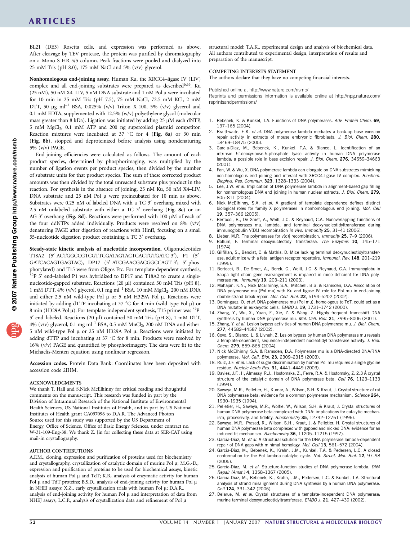### ARTICLES

BL21 (DE3) Rosetta cells, and expression was performed as above. After cleavage by TEV protease, the protein was purified by chromatography on a Mono S HR 5/5 column. Peak fractions were pooled and dialyzed into 25 mM Tris (pH 8.0), 175 mM NaCl and 5% (v/v) glycerol.

Nonhomologous end-joining assay. Human Ku, the XRCC4–ligase IV (LIV) complex and all end-joining substrates were prepared as described<sup>6,46</sup>. Ku (25 nM), 50 nM X4–LIV, 5 nM DNA substrate and 1 nM Pol  $\mu$  were incubated for 10 min in 25 mM Tris (pH 7.5), 75 mM NaCl, 72.5 mM KCl, 2 mM DTT, 50  $\mu$ g ml<sup>-1</sup> BSA, 0.025% (v/v) Triton X-100, 5% (v/v) glycerol and 0.1 mM EDTA, supplemented with 12.5% (w/v) polyethylene glycol (molecular mass greater than 8 kDa). Ligation was initiated by adding 25 µM each dNTP, 5 mM MgCl2, 0.1 mM ATP and 200 ng supercoiled plasmid competitor. Reaction mixtures were incubated at  $37^{\circ}$ C for 4 (Fig. 8a) or 30 min (Fig. 8b), stopped and deproteinized before analysis using nondenaturing 5% (v/v) PAGE.

End-joining efficiencies were calculated as follows. The amount of each product species, determined by phosphorimaging, was multiplied by the number of ligation events per product species, then divided by the number of substrate units for that product species. The sum of these corrected product amounts was then divided by the total unreacted substrate plus product in the reaction. For synthesis in the absence of joining, 25 nM Ku, 50 nM X4–LIV, DNA substrate and 25 nM Pol  $\mu$  were preincubated for 10 min as above. Substrates were 0.25 nM of labeled DNA with a TC 3' overhang mixed with 2.5 nM unlabeled substrate with either a TC  $3'$  overhang (Fig. 8c) or an AG 3' overhang (Fig. 8d). Reactions were performed with 100 µM of each of the four ddNTPs added individually. Products were resolved on 8% (v/v) denaturing PAGE after digestion of reactions with HinfI, focusing on a small 55-nucleotide digestion product containing a TC 3' overhang.

Steady-state kinetic analysis of nucleotide incorporation. Oligonucleotides T18A2 (5'-ACTGGCCGTCGTTCGATAGTACTCACTGTGATC-3'), P1 (5'-GATCACAGTGAGTAC), DP17 (5'-ATCGAACGACGGCCAGT-3'; 5'-phosphorylated) and T15 were from Oligos Etc. For template-dependent synthesis, <sup>32</sup>P 5' end-labeled P1 was hybridized to DP17 and T18A2 to create a singlenucleotide-gapped substrate. Reactions (20 ml) contained 50 mM Tris (pH 8), 1 mM DTT, 4% (v/v) glycerol, 0.1 mg ml<sup>-1</sup> BSA, 10 mM MgCl<sub>2</sub>, 200 nM DNA and either 2.5 nM wild-type Pol  $\mu$  or 5 nM H329A Pol  $\mu$ . Reactions were initiated by adding dTTP incubating at 37  $\degree$ C for 4 min (wild-type Pol  $\mu$ ) or 8 min (H329A Pol  $\mu$ ). For template-independent synthesis, T15 primer was <sup>32</sup>P 5' end-labeled. Reactions (20 µl) contained 50 mM Tris (pH 8), 1 mM DTT, 4% (v/v) glycerol, 0.1 mg ml<sup>-1</sup> BSA, 0.5 mM  $MnCl<sub>2</sub>$ , 200 nM DNA and either 5 nM wild-type Pol  $\mu$  or 25 nM H329A Pol  $\mu$ . Reactions were initiated by adding dTTP and incubating at 37  $^{\circ}$ C for 8 min. Products were resolved by 16% (v/v) PAGE and quantified by phosphorimagery. The data were fit to the Michaelis-Menten equation using nonlinear regression.

Accession codes. Protein Data Bank: Coordinates have been deposited with accession code 2IHM.

#### ACKNOWLEDGMENTS

We thank T. Hall and S.Nick McElhinny for critical reading and thoughtful comments on the manuscript. This research was funded in part by the Division of Intramural Research of the National Institute of Environmental Health Sciences, US National Institutes of Health, and in part by US National Institutes of Health grant CA097096 to D.A.R. The Advanced Photon Source used for this study was supported by the US Department of Energy, Office of Science, Office of Basic Energy Sciences, under contract no. W-31-109-Eng-38. We thank Z. Jin for collecting these data at SER-CAT using mail-in crystallography.

#### AUTHOR CONTRIBUTIONS

A.F.M., cloning, expression and purification of proteins used for biochemistry and crystallography, crystallization of catalytic domain of murine Pol  $\mu$ ; M.G.-D., expression and purification of proteins to be used for biochemical assays, kinetic analysis of human Pol  $\mu$  and TdT; K.B., analysis of enzymatic activity for human Pol  $\mu$  and TdT proteins; B.S.D., analysis of end-joining activity for human Pol  $\mu$ in NHEJ assays; X.Z., early crystallization trials with human Pol µ; D.A.R., analysis of end-joining activity for human Pol  $\mu$  and interpretation of data from NHEJ assays; L.C.P., analysis of crystallization data and refinement of Pol $\,\mu$ 

structural model; T.A.K., experimental design and analysis of biochemical data. All authors contributed to experimental design, interpretation of results and preparation of the manuscript.

#### COMPETING INTERESTS STATEMENT

The authors declare that they have no competing financial interests.

Published online at http://www.nature.com/nsmb/

Reprints and permissions information is available online at http://npg.nature.com/ reprintsandpermissions/

- 1. Bebenek, K. & Kunkel, T.A. Functions of DNA polymerases. Adv. Protein Chem. 69, 137–165 (2004).
- 2. Braithwaite, E.K. et al. DNA polymerase lambda mediates a back-up base excision repair activity in extracts of mouse embryonic fibroblasts. J. Biol. Chem. 280, 18469–18475 (2005).
- Garcia-Diaz, M., Bebenek, K., Kunkel, T.A. & Blanco, L. Identification of an intrinsic 5¢-deoxyribose-5-phosphate lyase activity in human DNA polymerase lambda: a possible role in base excision repair. J. Biol. Chem. 276, 34659-34663 (2001).
- 4. Fan, W. & Wu, X. DNA polymerase lambda can elongate on DNA substrates mimicking non-homologous end joining and interact with XRCC4-ligase IV complex. Biochem. Biophys. Res. Commun. 323, 1328–1333 (2004).
- Lee, J.W. et al. Implication of DNA polymerase lambda in alignment-based gap filling for nonhomologous DNA end joining in human nuclear extracts. J. Biol. Chem. 279, 805–811 (2004).
- 6. Nick McElhinny, S.A. et al. A gradient of template dependence defines distinct biological roles for family X polymerases in nonhomologous end joining. Mol. Cell 19, 357–366 (2005).
- 7. Bertocci, B., De Smet, A., Weill, J.C. & Reynaud, C.A. Nonoverlapping functions of DNA polymerases mu, lambda, and terminal deoxynucleotidyltransferase during immunoglobulin V(D)J recombination in vivo. Immunity 25, 31–41 (2006).
- 8. Lieber, M.R. The polymerases for v(d)j recombination. Immunity 25, 7-9 (2006).
- 9. Bollum, F. Terminal deoxynucleotidyl transferase. The Enzymes 10, 145-171 (1974).
- 10. Gilfillan, S., Benoist, C. & Mathis, D. Mice lacking terminal deoxynucleotidyltransferase: adult mice with a fetal antigen receptor repertoire. Immunol. Rev. 148, 201-219 (1995).
- 11. Bertocci, B., De Smet, A., Berek, C., Weill, J.C. & Reynaud, C.A. Immunoglobulin kappa light chain gene rearrangement is impaired in mice deficient for DNA polymerase mu. Immunity 19, 203-211 (2003).
- 12. Mahajan, K.N., Nick McElhinny, S.A., Mitchell, B.S. & Ramsden, D.A. Association of DNA polymerase mu (Pol mu) with Ku and ligase IV: role for Pol mu in end-joining double-strand break repair. Mol. Cell. Biol. 22, 5194-5202 (2002).
- 13. Dominguez, O. et al. DNA polymerase mu (Pol mu), homologous to TdT, could act as a DNA mutator in eukaryotic cells. EMBO J. 19, 1731-1742 (2000).
- 14. Zhang, Y., Wu, X., Yuan, F., Xie, Z. & Wang, Z. Highly frequent frameshift DNA synthesis by human DNA polymerase mu. Mol. Cell. Biol. 21, 7995-8006 (2001).
- 15. Zhang, Y. et al. Lesion bypass activities of human DNA polymerase mu. J. Biol. Chem. 277, 44582–44587 (2002).
- 16. Covo, S., Blanco, L. & Livneh, Z. Lesion bypass by human DNA polymerase mu reveals a template-dependent, sequence-independent nucleotidyl transferase activity. J. Biol. Chem. 279, 859–865 (2004).
- 17. Nick McElhinny, S.A. & Ramsden, D.A. Polymerase mu is a DNA-directed DNA/RNA polymerase. Mol. Cell. Biol. 23, 2309–2315 (2003).
- 18. Ruiz, J.F. et al. Lack of sugar discrimination by human Pol mu requires a single glycine residue. Nucleic Acids Res. 31, 4441-4449 (2003).
- 19. Davies, J.F., II, Almassy, R.J., Hostomska, Z., Ferre, R.A. & Hostomsky, Z. 2.3 Å crystal structure of the catalytic domain of DNA polymerase beta. Cell 76, 1123-1133 (1994).
- 20. Sawaya, M.R., Pelletier, H., Kumar, A., Wilson, S.H. & Kraut, J. Crystal structure of rat DNA polymerase beta: evidence for a common polymerase mechanism. Science 264, 1930–1935 (1994).
- 21. Pelletier, H., Sawaya, M.R., Wolfle, W., Wilson, S.H. & Kraut, J. Crystal structures of human DNA polymerase beta complexed with DNA: implications for catalytic mechanism, processivity, and fidelity. Biochemistry 35, 12742-12761 (1996).
- 22. Sawaya, M.R., Prasad, R., Wilson, S.H., Kraut, J. & Pelletier, H. Crystal structures of human DNA polymerase beta complexed with gapped and nicked DNA: evidence for an induced fit mechanism. Biochemistry 36, 11205–11215 (1997).
- 23. Garcia-Diaz, M. et al. A structural solution for the DNA polymerase lambda-dependent repair of DNA gaps with minimal homology. Mol. Cell 13, 561-572 (2004).
- 24. Garcia-Diaz, M., Bebenek, K., Krahn, J.M., Kunkel, T.A. & Pedersen, L.C. A closed conformation for the Pol lambda catalytic cycle. Nat. Struct. Mol. Biol. 12, 97–98 (2005).
- 25. Garcia-Diaz, M. et al. Structure-function studies of DNA polymerase lambda. DNA Repair (Amst.) 4, 1358–1367 (2005).
- 26. Garcia-Diaz, M., Bebenek, K., Krahn, J.M., Pedersen, L.C. & Kunkel, T.A. Structural analysis of strand misalignment during DNA synthesis by a human DNA polymerase. Cell 124, 331–342 (2006).
- 27. Delarue, M. et al. Crystal structures of a template-independent DNA polymerase: murine terminal deoxynucleotidyltransferase. EMBO J. 21, 427-439 (2002).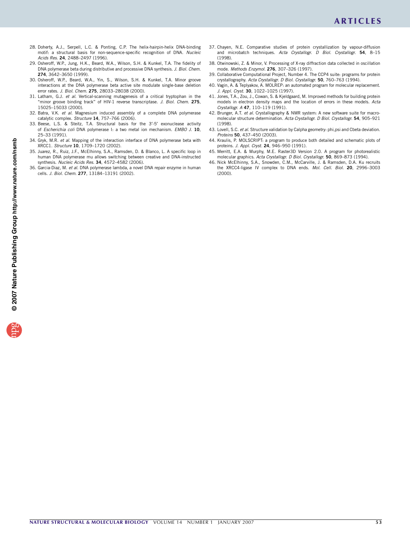- 28. Doherty, A.J., Serpell, L.C. & Ponting, C.P. The helix-hairpin-helix DNA-binding motif: a structural basis for non-sequence-specific recognition of DNA. Nucleic Acids Res. 24, 2488–2497 (1996).
- 29. Osheroff, W.P., Jung, H.K., Beard, W.A., Wilson, S.H. & Kunkel, T.A. The fidelity of DNA polymerase beta during distributive and processive DNA synthesis. J. Biol. Chem. 274, 3642–3650 (1999).
- 30. Osheroff, W.P., Beard, W.A., Yin, S., Wilson, S.H. & Kunkel, T.A. Minor groove interactions at the DNA polymerase beta active site modulate single-base deletion error rates. J. Biol. Chem. 275, 28033-28038 (2000).
- 31. Latham, G.J. et al. Vertical-scanning mutagenesis of a critical tryptophan in the "minor groove binding track" of HIV-1 reverse transcriptase. J. Biol. Chem. 275, 15025–15033 (2000).
- 32. Batra, V.K. et al. Magnesium induced assembly of a complete DNA polymerase catalytic complex. Structure 14, 757-766 (2006).
- 33. Beese, L.S. & Steitz, T.A. Structural basis for the 3'-5' exonuclease activity of Escherichia coli DNA polymerase I: a two metal ion mechanism. EMBO J. 10, 25–33 (1991).
- 34. Gryk, M.R. et al. Mapping of the interaction interface of DNA polymerase beta with XRCC1. Structure 10, 1709–1720 (2002).
- 35. Juarez, R., Ruiz, J.F., McElhinny, S.A., Ramsden, D. & Blanco, L. A specific loop in human DNA polymerase mu allows switching between creative and DNA-instructed synthesis. Nucleic Acids Res. 34, 4572–4582 (2006).
- 36. Garcia-Diaz, M. et al. DNA polymerase lambda, a novel DNA repair enzyme in human cells. J. Biol. Chem. 277, 13184–13191 (2002).
- 37. Chayen, N.E. Comparative studies of protein crystallization by vapour-diffusion and microbatch techniques. Acta Crystallogr. D Biol. Crystallogr. 54, 8-15 (1998).
- 38. Otwinowski, Z. & Minor, V. Processing of X-ray diffraction data collected in oscillation mode. Methods Enzymol. 276, 307–326 (1997).
- 39. Collaborative Computational Project, Number 4. The CCP4 suite: programs for protein crystallography. Acta Crystallogr. D Biol. Crystallogr. 50, 760-763 (1994).
- 40. Vagin, A. & Teplyakov, A. MOLREP: an automated program for molecular replacement. J. Appl. Cryst. 30, 1022-1025 (1997).
- 41. Jones, T.A., Zou, J., Cowan, S. & Kjeldgaard, M. Improved methods for building protein models in electron density maps and the location of errors in these models. Acta Crystallogr. A 47, 110–119 (1991).
- 42. Brunger, A.T. et al. Crystallography & NMR system: A new software suite for macromolecular structure determination. Acta Crystallogr. D Biol. Crystallogr. 54, 905-921 (1998).
- 43. Lovell, S.C. et al. Structure validation by Calpha geometry: phi, psi and Cbeta deviation. Proteins 50, 437–450 (2003).
- 44. Kraulis, P. MOLSCRIPT: a program to produce both detailed and schematic plots of proteins. J. Appl. Cryst. 24, 946–950 (1991).
- 45. Merritt, E.A. & Murphy, M.E. Raster3D Version 2.0. A program for photorealistic molecular graphics. Acta Crystallogr. D Biol. Crystallogr. 50, 869–873 (1994).
- 46. Nick McElhinny, S.A., Snowden, C.M., McCarville, J. & Ramsden, D.A. Ku recruits the XRCC4-ligase IV complex to DNA ends. Mol. Cell. Biol. 20, 2996–3003 (2000).